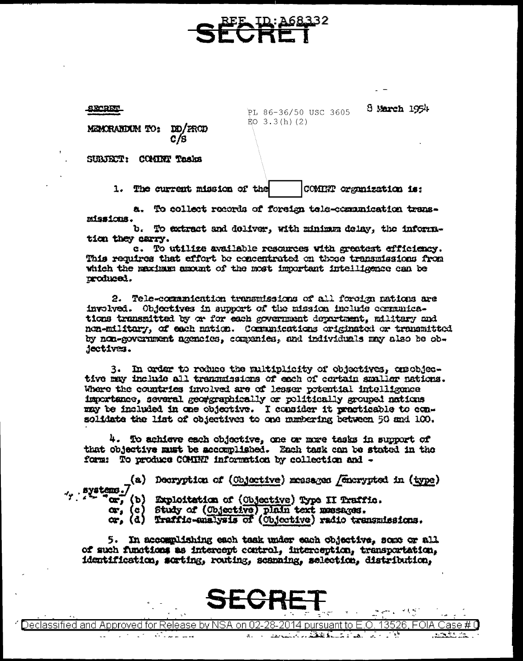88-RET

PL 86-36/50 USC 3605 EO  $3.3(h)(2)$ 

8 March 1954

MEMORANIXIM TO: **DO/PROD** 

SUBJECT: COMINT Tasks

1. The current mission of the COMINT organization is:

a. To collect records of foreign tele-communication transmissions.

b. To extract and doliver, with minimum delay, the information they carry.

c. To utilize available resources with greatest efficiency. This requires that effort be concentrated on those transmissions from which the maximum amount of the most important intelligence can be produced.

2. Tele-communication transmissions of all foreign nations are involved. Objectives in support of the mission include communications transmitted by or for each government department, military and non-military, of each nation. Communications originated or transmitted by non-government agencies, companies, and individuals may also be objectives.

3. In order to reduce the multiplicity of objectives, orgobjective may include all transmissions of each of cortain smaller nations. Where the countries involved are of lesser potential intelligence importance, several geoggraphically or politically grouped nations may be included in one objective. I consider it practicable to con-solidate the list of objectives to one munbering between 50 and 100.

4. To achieve each objective, one or more tasks in support of that objective must be accomplished. Each task can be stated in the form: To produce COMINT information by collection and -

(a) Decryption of (Objective) messages / enerypted in (type) systems.7

or, (b) Exploitation of (Objective) Type II Traffic.

or, (c) Study of (Objective) plain text mesages.<br>or, (d) Traffic-enalysis of (Objective) radio transmissions.

5. In accomplishing each task under each objective, some or all of such functions as intercept control, interception, transportation, identification, sorting, routing, scanning, selection, distribution,

)eclassified and Approved for Release by NSA on 02-28-2014 pursuant to E.O. 13526. FOIA Case # 0 5. Samuel March 1 a Lot of 1  $1.111111...$